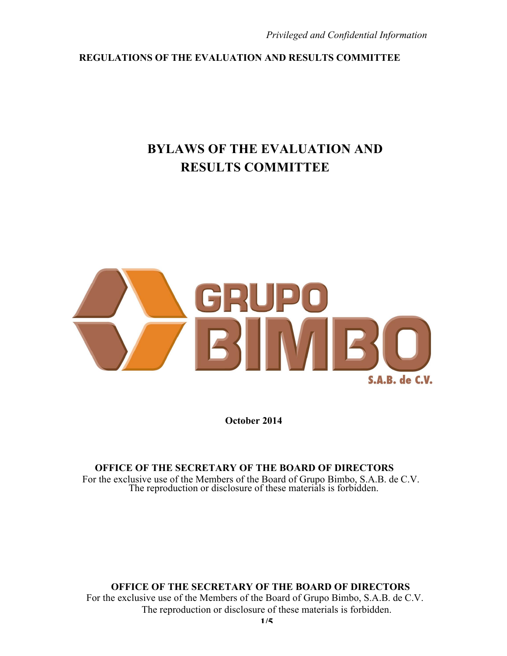# **BYLAWS OF THE EVALUATION AND RESULTS COMMITTEE**



**October 2014**

#### **OFFICE OF THE SECRETARY OF THE BOARD OF DIRECTORS** For the exclusive use of the Members of the Board of Grupo Bimbo, S.A.B. de C.V. The reproduction or disclosure of these materials is forbidden.

## **OFFICE OF THE SECRETARY OF THE BOARD OF DIRECTORS**

For the exclusive use of the Members of the Board of Grupo Bimbo, S.A.B. de C.V. The reproduction or disclosure of these materials is forbidden.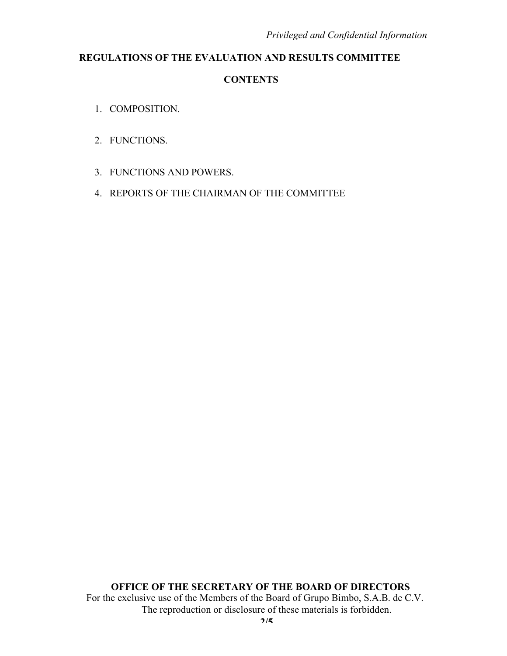- 1. COMPOSITION.
- 2. FUNCTIONS.
- 3. FUNCTIONS AND POWERS.
- 4. REPORTS OF THE CHAIRMAN OF THE COMMITTEE

**OFFICE OF THE SECRETARY OF THE BOARD OF DIRECTORS**

For the exclusive use of the Members of the Board of Grupo Bimbo, S.A.B. de C.V. The reproduction or disclosure of these materials is forbidden.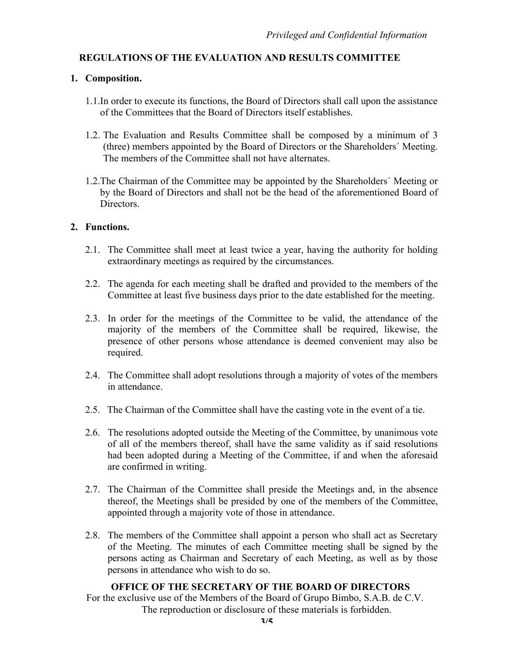### **1. Composition.**

- 1.1.In order to execute its functions, the Board of Directors shall call upon the assistance of the Committees that the Board of Directors itself establishes.
- 1.2. The Evaluation and Results Committee shall be composed by a minimum of 3 (three) members appointed by the Board of Directors or the Shareholders´ Meeting. The members of the Committee shall not have alternates.
- 1.2.The Chairman of the Committee may be appointed by the Shareholders´ Meeting or by the Board of Directors and shall not be the head of the aforementioned Board of **Directors**

#### **2. Functions.**

- 2.1. The Committee shall meet at least twice a year, having the authority for holding extraordinary meetings as required by the circumstances.
- 2.2. The agenda for each meeting shall be drafted and provided to the members of the Committee at least five business days prior to the date established for the meeting.
- 2.3. In order for the meetings of the Committee to be valid, the attendance of the majority of the members of the Committee shall be required, likewise, the presence of other persons whose attendance is deemed convenient may also be required.
- 2.4. The Committee shall adopt resolutions through a majority of votes of the members in attendance.
- 2.5. The Chairman of the Committee shall have the casting vote in the event of a tie.
- 2.6. The resolutions adopted outside the Meeting of the Committee, by unanimous vote of all of the members thereof, shall have the same validity as if said resolutions had been adopted during a Meeting of the Committee, if and when the aforesaid are confirmed in writing.
- 2.7. The Chairman of the Committee shall preside the Meetings and, in the absence thereof, the Meetings shall be presided by one of the members of the Committee, appointed through a majority vote of those in attendance.
- 2.8. The members of the Committee shall appoint a person who shall act as Secretary of the Meeting. The minutes of each Committee meeting shall be signed by the persons acting as Chairman and Secretary of each Meeting, as well as by those persons in attendance who wish to do so.

#### **OFFICE OF THE SECRETARY OF THE BOARD OF DIRECTORS**

For the exclusive use of the Members of the Board of Grupo Bimbo, S.A.B. de C.V. The reproduction or disclosure of these materials is forbidden.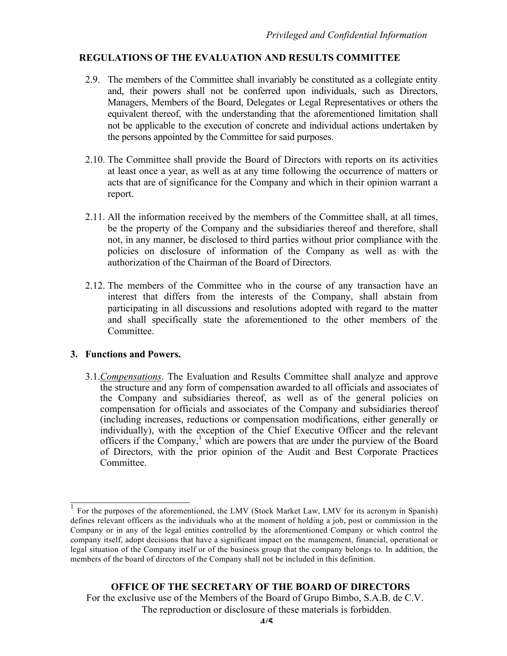- 2.9. The members of the Committee shall invariably be constituted as a collegiate entity and, their powers shall not be conferred upon individuals, such as Directors, Managers, Members of the Board, Delegates or Legal Representatives or others the equivalent thereof, with the understanding that the aforementioned limitation shall not be applicable to the execution of concrete and individual actions undertaken by the persons appointed by the Committee for said purposes.
- 2.10. The Committee shall provide the Board of Directors with reports on its activities at least once a year, as well as at any time following the occurrence of matters or acts that are of significance for the Company and which in their opinion warrant a report.
- 2.11. All the information received by the members of the Committee shall, at all times, be the property of the Company and the subsidiaries thereof and therefore, shall not, in any manner, be disclosed to third parties without prior compliance with the policies on disclosure of information of the Company as well as with the authorization of the Chairman of the Board of Directors.
- 2.12. The members of the Committee who in the course of any transaction have an interest that differs from the interests of the Company, shall abstain from participating in all discussions and resolutions adopted with regard to the matter and shall specifically state the aforementioned to the other members of the **Committee**

#### **3. Functions and Powers.**

3.1.*Compensations*. The Evaluation and Results Committee shall analyze and approve the structure and any form of compensation awarded to all officials and associates of the Company and subsidiaries thereof, as well as of the general policies on compensation for officials and associates of the Company and subsidiaries thereof (including increases, reductions or compensation modifications, either generally or individually), with the exception of the Chief Executive Officer and the relevant officers if the Company, <sup>1</sup> which are powers that are under the purview of the Board of Directors, with the prior opinion of the Audit and Best Corporate Practices Committee.

<sup>1</sup> For the purposes of the aforementioned, the LMV (Stock Market Law, LMV for its acronym in Spanish) defines relevant officers as the individuals who at the moment of holding a job, post or commission in the Company or in any of the legal entities controlled by the aforementioned Company or which control the company itself, adopt decisions that have a significant impact on the management, financial, operational or legal situation of the Company itself or of the business group that the company belongs to. In addition, the members of the board of directors of the Company shall not be included in this definition.